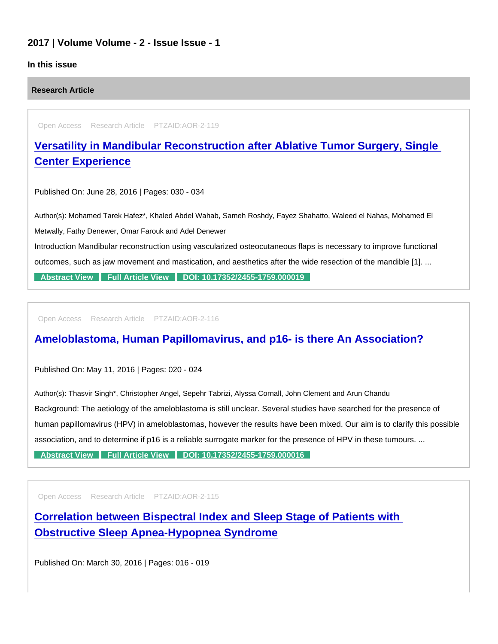#### 2017 | Volume Volume - 2 - Issue Issue - 1

#### In this issue

Research Article

Open Access Research Article PTZAID:AOR-2-119

[Versatility in Mandibular Reconstruction after Ablative Tumor Surgery, Single](https://www.peertechzpublications.com/articles/versatility-in-mandibular-reconstruction-after-ablative-tumor-surgery-single-center-experience)  Center Experience

Published On: June 28, 2016 | Pages: 030 - 034

Author(s): Mohamed Tarek Hafez\*, Khaled Abdel Wahab, Sameh Roshdy, Fayez Shahatto, Waleed el Nahas, Mohamed El Metwally, Fathy Denewer, Omar Farouk and Adel Denewer Introduction Mandibular reconstruction using vascularized osteocutaneous flaps is necessary to improve functional outcomes, such as jaw movement and mastication, and aesthetics after the wide resection of the mandible [1]. ...

[Abstract View](https://www.peertechzpublications.com/abstracts/versatility-in-mandibular-reconstruction-after-ablative-tumor-surgery-single-center-experience) [Full Article View](https://www.peertechzpublications.com/articles/versatility-in-mandibular-reconstruction-after-ablative-tumor-surgery-single-center-experience) [DOI: 10.17352/2455-1759.000019](http://dx.doi.org/10.17352/2455-1759.000019)

Open Access Research Article PTZAID:AOR-2-116

## [Ameloblastoma, Human Papillomavirus, and p16- is there An Association?](https://www.peertechzpublications.com/articles/ameloblastoma-human-papillomavirus-and-p16-is-there-an-association)

Published On: May 11, 2016 | Pages: 020 - 024

Author(s): Thasvir Singh\*, Christopher Angel, Sepehr Tabrizi, Alyssa Cornall, John Clement and Arun Chandu Background: The aetiology of the ameloblastoma is still unclear. Several studies have searched for the presence of human papillomavirus (HPV) in ameloblastomas, however the results have been mixed. Our aim is to clarify this possible association, and to determine if p16 is a reliable surrogate marker for the presence of HPV in these tumours. ...

[Abstract View](https://www.peertechzpublications.com/abstracts/ameloblastoma-human-papillomavirus-and-p16-is-there-an-association) [Full Article View](https://www.peertechzpublications.com/articles/ameloblastoma-human-papillomavirus-and-p16-is-there-an-association) [DOI: 10.17352/2455-1759.000016](http://dx.doi.org/10.17352/2455-1759.000016)

Open Access Research Article PTZAID:AOR-2-115

[Correlation between Bispectral Index and Sleep Stage of Patients with](https://www.peertechzpublications.com/articles/correlation-between-bispectral-index-and-sleep-stage-of-patients-with-obstructive-sleep-apnea-hypopnea-syndrome)  Obstructive Sleep Apnea-Hypopnea Syndrome

Published On: March 30, 2016 | Pages: 016 - 019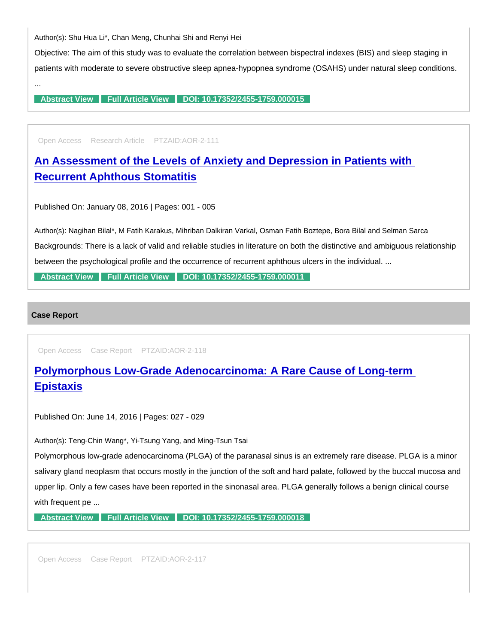Author(s): Shu Hua Li\*, Chan Meng, Chunhai Shi and Renyi Hei

Objective: The aim of this study was to evaluate the correlation between bispectral indexes (BIS) and sleep staging in patients with moderate to severe obstructive sleep apnea-hypopnea syndrome (OSAHS) under natural sleep conditions.

[Abstract View](https://www.peertechzpublications.com/abstracts/correlation-between-bispectral-index-and-sleep-stage-of-patients-with-obstructive-sleep-apnea-hypopnea-syndrome) [Full Article View](https://www.peertechzpublications.com/articles/correlation-between-bispectral-index-and-sleep-stage-of-patients-with-obstructive-sleep-apnea-hypopnea-syndrome) [DOI: 10.17352/2455-1759.000015](http://dx.doi.org/10.17352/2455-1759.000015)

Open Access Research Article PTZAID:AOR-2-111

[An Assessment of the Levels of Anxiety and Depression in Patients with](https://www.peertechzpublications.com/articles/an-assessment-of-the-levels-of-anxiety-and-depression-in-patients-with-recurrent-aphthous-stomatitis)  Recurrent Aphthous Stomatitis

Published On: January 08, 2016 | Pages: 001 - 005

Author(s): Nagihan Bilal\*, M Fatih Karakus, Mihriban Dalkiran Varkal, Osman Fatih Boztepe, Bora Bilal and Selman Sarca Backgrounds: There is a lack of valid and reliable studies in literature on both the distinctive and ambiguous relationship between the psychological profile and the occurrence of recurrent aphthous ulcers in the individual. ...

[Abstract View](https://www.peertechzpublications.com/abstracts/an-assessment-of-the-levels-of-anxiety-and-depression-in-patients-with-recurrent-aphthous-stomatitis) [Full Article View](https://www.peertechzpublications.com/articles/an-assessment-of-the-levels-of-anxiety-and-depression-in-patients-with-recurrent-aphthous-stomatitis) [DOI: 10.17352/2455-1759.000011](http://dx.doi.org/10.17352/2455-1759.000011)

Case Report

...

Open Access Case Report PTZAID:AOR-2-118

# [Polymorphous Low-Grade Adenocarcinoma: A Rare Cause of Long-term](https://www.peertechzpublications.com/articles/polymorphous-low-grade-adenocarcinoma-a-rare-cause-of-long-term-epistaxis)  Epistaxis

Published On: June 14, 2016 | Pages: 027 - 029

Author(s): Teng-Chin Wang\*, Yi-Tsung Yang, and Ming-Tsun Tsai

Polymorphous low-grade adenocarcinoma (PLGA) of the paranasal sinus is an extremely rare disease. PLGA is a minor salivary gland neoplasm that occurs mostly in the junction of the soft and hard palate, followed by the buccal mucosa and upper lip. Only a few cases have been reported in the sinonasal area. PLGA generally follows a benign clinical course with frequent pe ...

[Abstract View](https://www.peertechzpublications.com/abstracts/polymorphous-low-grade-adenocarcinoma-a-rare-cause-of-long-term-epistaxis) [Full Article View](https://www.peertechzpublications.com/articles/polymorphous-low-grade-adenocarcinoma-a-rare-cause-of-long-term-epistaxis) [DOI: 10.17352/2455-1759.000018](http://dx.doi.org/10.17352/2455-1759.000018)

Open Access Case Report PTZAID:AOR-2-117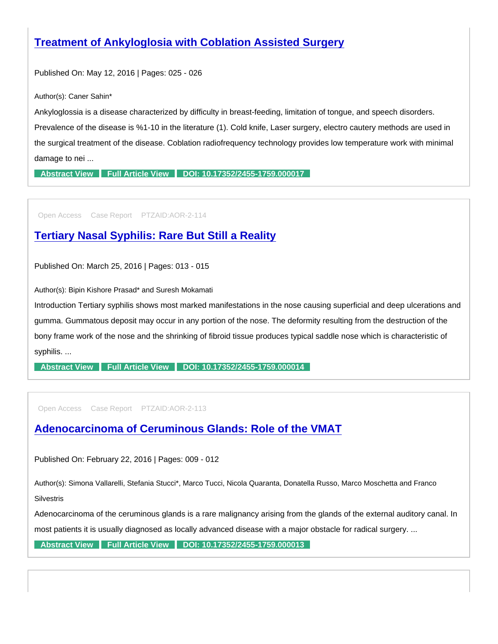## [Treatment of Ankyloglosia with Coblation Assisted Surgery](https://www.peertechzpublications.com/articles/treatment-of-ankyloglosia-with-coblation-assisted-surgery)

Published On: May 12, 2016 | Pages: 025 - 026

Author(s): Caner Sahin\*

Ankyloglossia is a disease characterized by difficulty in breast-feeding, limitation of tongue, and speech disorders. Prevalence of the disease is %1-10 in the literature (1). Cold knife, Laser surgery, electro cautery methods are used in the surgical treatment of the disease. Coblation radiofrequency technology provides low temperature work with minimal damage to nei ...

[Abstract View](https://www.peertechzpublications.com/abstracts/treatment-of-ankyloglosia-with-coblation-assisted-surgery) [Full Article View](https://www.peertechzpublications.com/articles/treatment-of-ankyloglosia-with-coblation-assisted-surgery) [DOI: 10.17352/2455-1759.000017](http://dx.doi.org/10.17352/2455-1759.000017)

Open Access Case Report PTZAID:AOR-2-114

### [Tertiary Nasal Syphilis: Rare But Still a Reality](https://www.peertechzpublications.com/articles/tertiary-nasal-syphilis-rare-but-still-a-reality)

Published On: March 25, 2016 | Pages: 013 - 015

Author(s): Bipin Kishore Prasad\* and Suresh Mokamati

Introduction Tertiary syphilis shows most marked manifestations in the nose causing superficial and deep ulcerations and gumma. Gummatous deposit may occur in any portion of the nose. The deformity resulting from the destruction of the bony frame work of the nose and the shrinking of fibroid tissue produces typical saddle nose which is characteristic of syphilis. ...

[Abstract View](https://www.peertechzpublications.com/abstracts/tertiary-nasal-syphilis-rare-but-still-a-reality) [Full Article View](https://www.peertechzpublications.com/articles/tertiary-nasal-syphilis-rare-but-still-a-reality) [DOI: 10.17352/2455-1759.000014](http://dx.doi.org/10.17352/2455-1759.000014)

Open Access Case Report PTZAID:AOR-2-113

[Adenocarcinoma of Ceruminous Glands: Role of the VMAT](https://www.peertechzpublications.com/articles/adenocarcinoma-of-ceruminous-glands-role-of-the-vmat)

Published On: February 22, 2016 | Pages: 009 - 012

Author(s): Simona Vallarelli, Stefania Stucci\*, Marco Tucci, Nicola Quaranta, Donatella Russo, Marco Moschetta and Franco

**Silvestris** 

Adenocarcinoma of the ceruminous glands is a rare malignancy arising from the glands of the external auditory canal. In

most patients it is usually diagnosed as locally advanced disease with a major obstacle for radical surgery. ...

[Abstract View](https://www.peertechzpublications.com/abstracts/adenocarcinoma-of-ceruminous-glands-role-of-the-vmat) [Full Article View](https://www.peertechzpublications.com/articles/adenocarcinoma-of-ceruminous-glands-role-of-the-vmat) [DOI: 10.17352/2455-1759.000013](http://dx.doi.org/10.17352/2455-1759.000013)